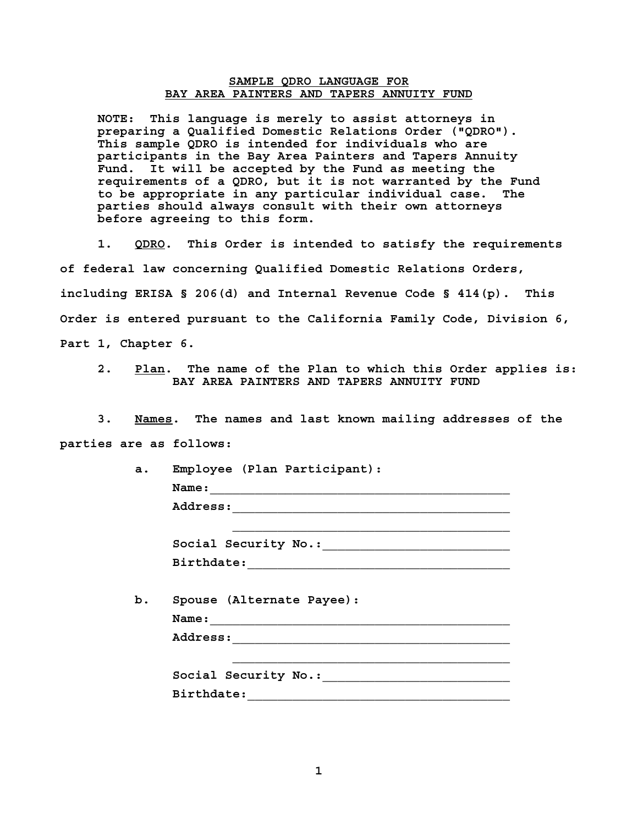## **SAMPLE QDRO LANGUAGE FOR BAY AREA PAINTERS AND TAPERS ANNUITY FUND**

**NOTE: This language is merely to assist attorneys in preparing a Qualified Domestic Relations Order ("QDRO"). This sample QDRO is intended for individuals who are participants in the Bay Area Painters and Tapers Annuity Fund. It will be accepted by the Fund as meeting the requirements of a QDRO, but it is not warranted by the Fund to be appropriate in any particular individual case. The parties should always consult with their own attorneys before agreeing to this form.** 

 **1. QDRO. This Order is intended to satisfy the requirements of federal law concerning Qualified Domestic Relations Orders, including ERISA § 206(d) and Internal Revenue Code § 414(p). This Order is entered pursuant to the California Family Code, Division 6, Part 1, Chapter 6.** 

 **2. Plan. The name of the Plan to which this Order applies is: BAY AREA PAINTERS AND TAPERS ANNUITY FUND** 

 **3. Names. The names and last known mailing addresses of the parties are as follows:** 

| a.         | Employee (Plan Participant):                                                                                          |
|------------|-----------------------------------------------------------------------------------------------------------------------|
| Name:      | <u> 1986 - Johann Johann Stoff, deutscher Stoff und der Stoff und der Stoff und der Stoff und der Stoff und der S</u> |
|            |                                                                                                                       |
|            |                                                                                                                       |
|            |                                                                                                                       |
| b.         | Spouse (Alternate Payee):                                                                                             |
|            |                                                                                                                       |
|            | Social Security No.:                                                                                                  |
| Birthdate: |                                                                                                                       |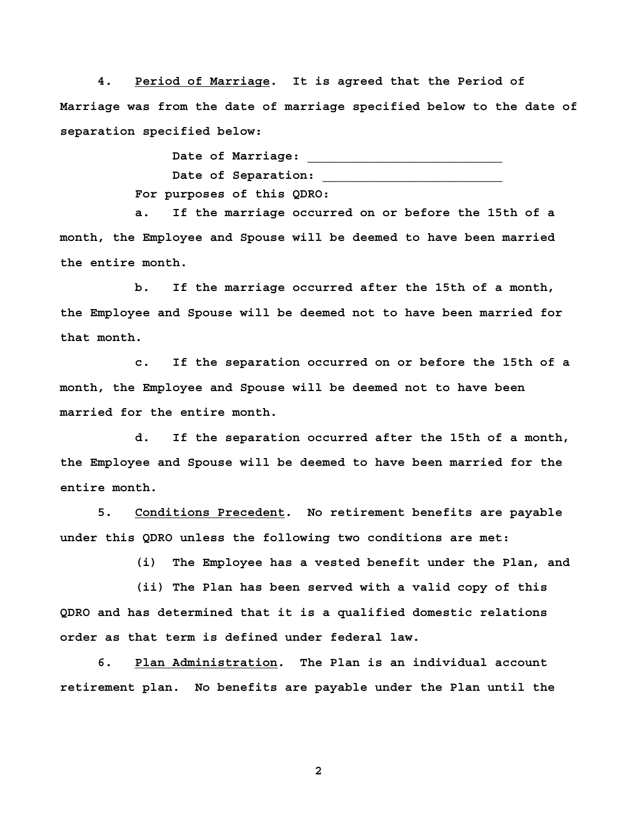**4. Period of Marriage. It is agreed that the Period of Marriage was from the date of marriage specified below to the date of separation specified below:** 

> **Date of Marriage: \_\_\_\_\_\_\_\_\_\_\_\_\_\_\_\_\_\_\_\_\_\_\_\_\_\_**  Date of Separation:  **For purposes of this QDRO:**

 **a. If the marriage occurred on or before the 15th of a month, the Employee and Spouse will be deemed to have been married the entire month.** 

 **b. If the marriage occurred after the 15th of a month, the Employee and Spouse will be deemed not to have been married for that month.** 

 **c. If the separation occurred on or before the 15th of a month, the Employee and Spouse will be deemed not to have been married for the entire month.** 

 **d. If the separation occurred after the 15th of a month, the Employee and Spouse will be deemed to have been married for the entire month.** 

 **5. Conditions Precedent. No retirement benefits are payable under this QDRO unless the following two conditions are met:** 

 **(i) The Employee has a vested benefit under the Plan, and** 

 **(ii) The Plan has been served with a valid copy of this QDRO and has determined that it is a qualified domestic relations order as that term is defined under federal law.** 

 **6. Plan Administration. The Plan is an individual account retirement plan. No benefits are payable under the Plan until the** 

**2**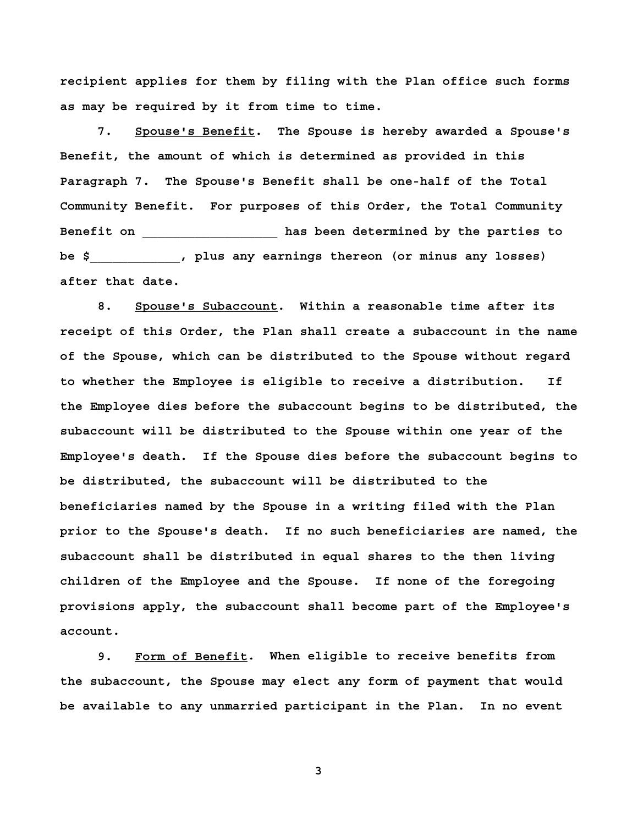**recipient applies for them by filing with the Plan office such forms as may be required by it from time to time.** 

 **7. Spouse's Benefit. The Spouse is hereby awarded a Spouse's Benefit, the amount of which is determined as provided in this Paragraph 7. The Spouse's Benefit shall be one-half of the Total Community Benefit. For purposes of this Order, the Total Community Benefit on \_\_\_\_\_\_\_\_\_\_\_\_\_\_\_\_\_\_ has been determined by the parties to be \$\_\_\_\_\_\_\_\_\_\_\_\_, plus any earnings thereon (or minus any losses) after that date.** 

 **8. Spouse's Subaccount. Within a reasonable time after its receipt of this Order, the Plan shall create a subaccount in the name of the Spouse, which can be distributed to the Spouse without regard to whether the Employee is eligible to receive a distribution. If the Employee dies before the subaccount begins to be distributed, the subaccount will be distributed to the Spouse within one year of the Employee's death. If the Spouse dies before the subaccount begins to be distributed, the subaccount will be distributed to the beneficiaries named by the Spouse in a writing filed with the Plan prior to the Spouse's death. If no such beneficiaries are named, the subaccount shall be distributed in equal shares to the then living children of the Employee and the Spouse. If none of the foregoing provisions apply, the subaccount shall become part of the Employee's account.** 

 **9. Form of Benefit. When eligible to receive benefits from the subaccount, the Spouse may elect any form of payment that would be available to any unmarried participant in the Plan. In no event** 

**3**